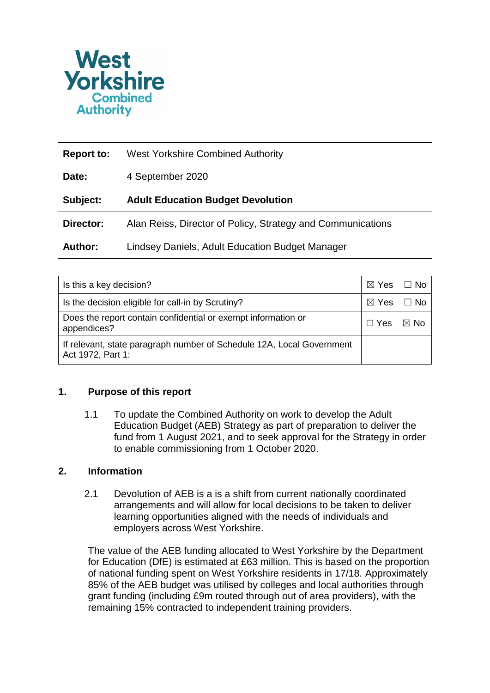

| Report to:     | <b>West Yorkshire Combined Authority</b>                    |
|----------------|-------------------------------------------------------------|
| Date:          | 4 September 2020                                            |
| Subject:       | <b>Adult Education Budget Devolution</b>                    |
| Director:      | Alan Reiss, Director of Policy, Strategy and Communications |
| <b>Author:</b> | Lindsey Daniels, Adult Education Budget Manager             |

| Is this a key decision?                                                                    | $\boxtimes$ Yes $\Box$ No |      |
|--------------------------------------------------------------------------------------------|---------------------------|------|
| Is the decision eligible for call-in by Scrutiny?                                          | $\boxtimes$ Yes $\Box$ No |      |
| Does the report contain confidential or exempt information or<br>appendices?               |                           | ⊠ No |
| If relevant, state paragraph number of Schedule 12A, Local Government<br>Act 1972, Part 1: |                           |      |

# **1. Purpose of this report**

1.1 To update the Combined Authority on work to develop the Adult Education Budget (AEB) Strategy as part of preparation to deliver the fund from 1 August 2021, and to seek approval for the Strategy in order to enable commissioning from 1 October 2020.

## **2. Information**

2.1 Devolution of AEB is a is a shift from current nationally coordinated arrangements and will allow for local decisions to be taken to deliver learning opportunities aligned with the needs of individuals and employers across West Yorkshire.

The value of the AEB funding allocated to West Yorkshire by the Department for Education (DfE) is estimated at £63 million. This is based on the proportion of national funding spent on West Yorkshire residents in 17/18. Approximately 85% of the AEB budget was utilised by colleges and local authorities through grant funding (including £9m routed through out of area providers), with the remaining 15% contracted to independent training providers.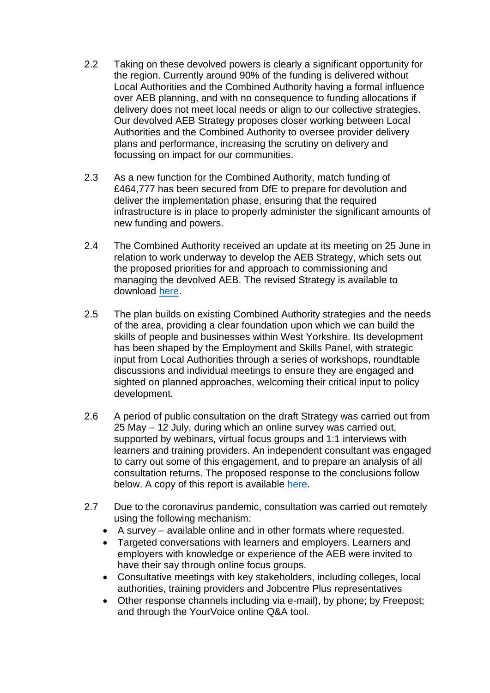- 2.2 Taking on these devolved powers is clearly a significant opportunity for the region. Currently around 90% of the funding is delivered without Local Authorities and the Combined Authority having a formal influence over AEB planning, and with no consequence to funding allocations if delivery does not meet local needs or align to our collective strategies. Our devolved AEB Strategy proposes closer working between Local Authorities and the Combined Authority to oversee provider delivery plans and performance, increasing the scrutiny on delivery and focussing on impact for our communities.
- 2.3 As a new function for the Combined Authority, match funding of £464,777 has been secured from DfE to prepare for devolution and deliver the implementation phase, ensuring that the required infrastructure is in place to properly administer the significant amounts of new funding and powers.
- 2.4 The Combined Authority received an update at its meeting on 25 June in relation to work underway to develop the AEB Strategy, which sets out the proposed priorities for and approach to commissioning and managing the devolved AEB. The revised Strategy is available to download [here.](https://www.yourvoice.westyorks-ca.gov.uk/4085/widgets/12641/documents/4870)
- 2.5 The plan builds on existing Combined Authority strategies and the needs of the area, providing a clear foundation upon which we can build the skills of people and businesses within West Yorkshire. Its development has been shaped by the Employment and Skills Panel, with strategic input from Local Authorities through a series of workshops, roundtable discussions and individual meetings to ensure they are engaged and sighted on planned approaches, welcoming their critical input to policy development.
- 2.6 A period of public consultation on the draft Strategy was carried out from 25 May – 12 July, during which an online survey was carried out, supported by webinars, virtual focus groups and 1:1 interviews with learners and training providers. An independent consultant was engaged to carry out some of this engagement, and to prepare an analysis of all consultation returns. The proposed response to the conclusions follow below. A copy of this report is available [here.](https://www.yourvoice.westyorks-ca.gov.uk/4085/widgets/12641/documents/6398)
- 2.7 Due to the coronavirus pandemic, consultation was carried out remotely using the following mechanism:
	- A survey available online and in other formats where requested.
	- Targeted conversations with learners and employers. Learners and employers with knowledge or experience of the AEB were invited to have their say through online focus groups.
	- Consultative meetings with key stakeholders, including colleges, local authorities, training providers and Jobcentre Plus representatives
	- Other response channels including via e-mail), by phone; by Freepost; and through the YourVoice online Q&A tool.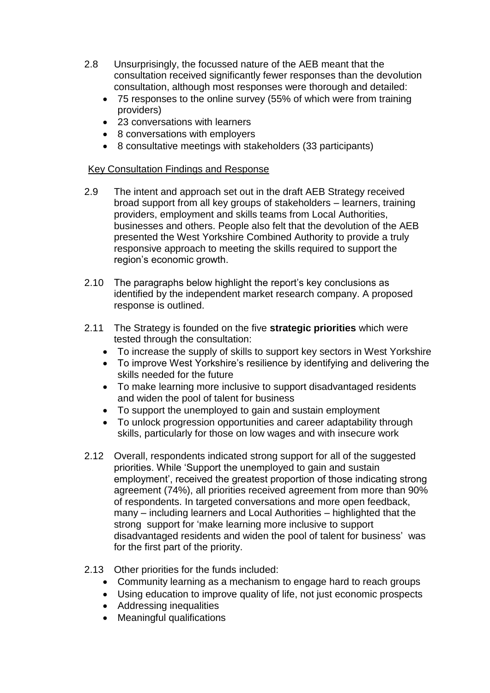- 2.8 Unsurprisingly, the focussed nature of the AEB meant that the consultation received significantly fewer responses than the devolution consultation, although most responses were thorough and detailed:
	- 75 responses to the online survey (55% of which were from training providers)
	- 23 conversations with learners
	- 8 conversations with employers
	- 8 consultative meetings with stakeholders (33 participants)

# Key Consultation Findings and Response

- 2.9 The intent and approach set out in the draft AEB Strategy received broad support from all key groups of stakeholders – learners, training providers, employment and skills teams from Local Authorities, businesses and others. People also felt that the devolution of the AEB presented the West Yorkshire Combined Authority to provide a truly responsive approach to meeting the skills required to support the region's economic growth.
- 2.10 The paragraphs below highlight the report's key conclusions as identified by the independent market research company. A proposed response is outlined.
- 2.11 The Strategy is founded on the five **strategic priorities** which were tested through the consultation:
	- To increase the supply of skills to support key sectors in West Yorkshire
	- To improve West Yorkshire's resilience by identifying and delivering the skills needed for the future
	- To make learning more inclusive to support disadvantaged residents and widen the pool of talent for business
	- To support the unemployed to gain and sustain employment
	- To unlock progression opportunities and career adaptability through skills, particularly for those on low wages and with insecure work
- 2.12 Overall, respondents indicated strong support for all of the suggested priorities. While 'Support the unemployed to gain and sustain employment', received the greatest proportion of those indicating strong agreement (74%), all priorities received agreement from more than 90% of respondents. In targeted conversations and more open feedback, many – including learners and Local Authorities – highlighted that the strong support for 'make learning more inclusive to support disadvantaged residents and widen the pool of talent for business' was for the first part of the priority.
- 2.13 Other priorities for the funds included:
	- Community learning as a mechanism to engage hard to reach groups
	- Using education to improve quality of life, not just economic prospects
	- Addressing inequalities
	- Meaningful qualifications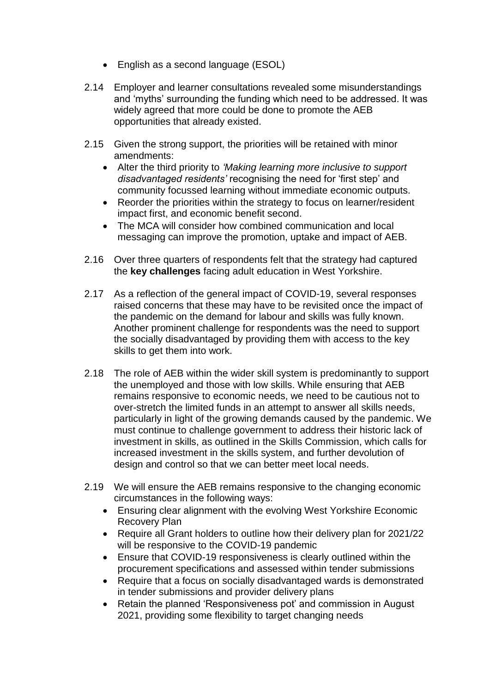- English as a second language (ESOL)
- 2.14 Employer and learner consultations revealed some misunderstandings and 'myths' surrounding the funding which need to be addressed. It was widely agreed that more could be done to promote the AEB opportunities that already existed.
- 2.15 Given the strong support, the priorities will be retained with minor amendments:
	- Alter the third priority to *'Making learning more inclusive to support disadvantaged residents'* recognising the need for 'first step' and community focussed learning without immediate economic outputs.
	- Reorder the priorities within the strategy to focus on learner/resident impact first, and economic benefit second.
	- The MCA will consider how combined communication and local messaging can improve the promotion, uptake and impact of AEB.
- 2.16 Over three quarters of respondents felt that the strategy had captured the **key challenges** facing adult education in West Yorkshire.
- 2.17 As a reflection of the general impact of COVID-19, several responses raised concerns that these may have to be revisited once the impact of the pandemic on the demand for labour and skills was fully known. Another prominent challenge for respondents was the need to support the socially disadvantaged by providing them with access to the key skills to get them into work.
- 2.18 The role of AEB within the wider skill system is predominantly to support the unemployed and those with low skills. While ensuring that AEB remains responsive to economic needs, we need to be cautious not to over-stretch the limited funds in an attempt to answer all skills needs, particularly in light of the growing demands caused by the pandemic. We must continue to challenge government to address their historic lack of investment in skills, as outlined in the Skills Commission, which calls for increased investment in the skills system, and further devolution of design and control so that we can better meet local needs.
- 2.19 We will ensure the AEB remains responsive to the changing economic circumstances in the following ways:
	- Ensuring clear alignment with the evolving West Yorkshire Economic Recovery Plan
	- Require all Grant holders to outline how their delivery plan for 2021/22 will be responsive to the COVID-19 pandemic
	- Ensure that COVID-19 responsiveness is clearly outlined within the procurement specifications and assessed within tender submissions
	- Require that a focus on socially disadvantaged wards is demonstrated in tender submissions and provider delivery plans
	- Retain the planned 'Responsiveness pot' and commission in August 2021, providing some flexibility to target changing needs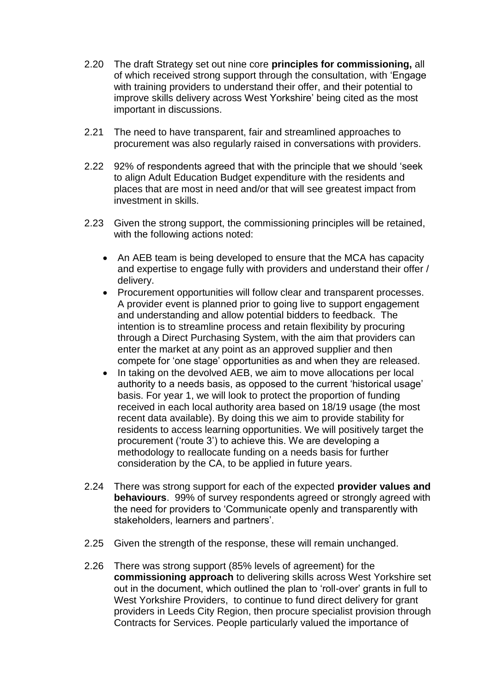- 2.20 The draft Strategy set out nine core **principles for commissioning,** all of which received strong support through the consultation, with 'Engage with training providers to understand their offer, and their potential to improve skills delivery across West Yorkshire' being cited as the most important in discussions.
- 2.21 The need to have transparent, fair and streamlined approaches to procurement was also regularly raised in conversations with providers.
- 2.22 92% of respondents agreed that with the principle that we should 'seek to align Adult Education Budget expenditure with the residents and places that are most in need and/or that will see greatest impact from investment in skills.
- 2.23 Given the strong support, the commissioning principles will be retained, with the following actions noted:
	- An AEB team is being developed to ensure that the MCA has capacity and expertise to engage fully with providers and understand their offer / delivery.
	- Procurement opportunities will follow clear and transparent processes. A provider event is planned prior to going live to support engagement and understanding and allow potential bidders to feedback. The intention is to streamline process and retain flexibility by procuring through a Direct Purchasing System, with the aim that providers can enter the market at any point as an approved supplier and then compete for 'one stage' opportunities as and when they are released.
	- In taking on the devolved AEB, we aim to move allocations per local authority to a needs basis, as opposed to the current 'historical usage' basis. For year 1, we will look to protect the proportion of funding received in each local authority area based on 18/19 usage (the most recent data available). By doing this we aim to provide stability for residents to access learning opportunities. We will positively target the procurement ('route 3') to achieve this. We are developing a methodology to reallocate funding on a needs basis for further consideration by the CA, to be applied in future years.
- 2.24 There was strong support for each of the expected **provider values and behaviours**. 99% of survey respondents agreed or strongly agreed with the need for providers to 'Communicate openly and transparently with stakeholders, learners and partners'.
- 2.25 Given the strength of the response, these will remain unchanged.
- 2.26 There was strong support (85% levels of agreement) for the **commissioning approach** to delivering skills across West Yorkshire set out in the document, which outlined the plan to 'roll-over' grants in full to West Yorkshire Providers, to continue to fund direct delivery for grant providers in Leeds City Region, then procure specialist provision through Contracts for Services. People particularly valued the importance of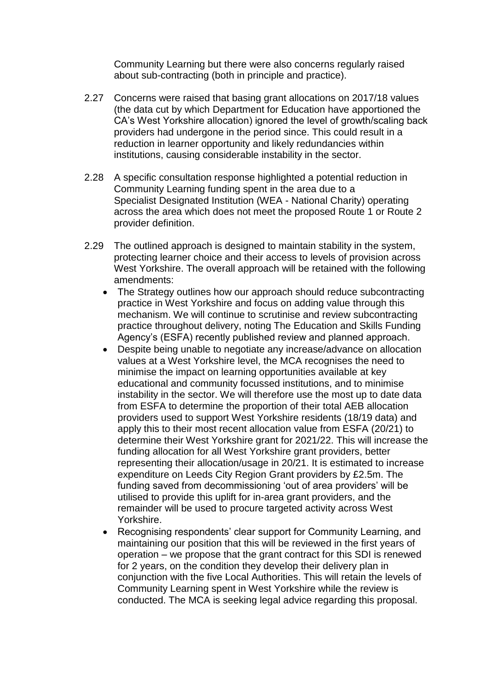Community Learning but there were also concerns regularly raised about sub-contracting (both in principle and practice).

- 2.27 Concerns were raised that basing grant allocations on 2017/18 values (the data cut by which Department for Education have apportioned the CA's West Yorkshire allocation) ignored the level of growth/scaling back providers had undergone in the period since. This could result in a reduction in learner opportunity and likely redundancies within institutions, causing considerable instability in the sector.
- 2.28 A specific consultation response highlighted a potential reduction in Community Learning funding spent in the area due to a Specialist Designated Institution (WEA - National Charity) operating across the area which does not meet the proposed Route 1 or Route 2 provider definition.
- 2.29 The outlined approach is designed to maintain stability in the system, protecting learner choice and their access to levels of provision across West Yorkshire. The overall approach will be retained with the following amendments:
	- The Strategy outlines how our approach should reduce subcontracting practice in West Yorkshire and focus on adding value through this mechanism. We will continue to scrutinise and review subcontracting practice throughout delivery, noting The Education and Skills Funding Agency's (ESFA) recently published review and planned approach.
	- Despite being unable to negotiate any increase/advance on allocation values at a West Yorkshire level, the MCA recognises the need to minimise the impact on learning opportunities available at key educational and community focussed institutions, and to minimise instability in the sector. We will therefore use the most up to date data from ESFA to determine the proportion of their total AEB allocation providers used to support West Yorkshire residents (18/19 data) and apply this to their most recent allocation value from ESFA (20/21) to determine their West Yorkshire grant for 2021/22. This will increase the funding allocation for all West Yorkshire grant providers, better representing their allocation/usage in 20/21. It is estimated to increase expenditure on Leeds City Region Grant providers by £2.5m. The funding saved from decommissioning 'out of area providers' will be utilised to provide this uplift for in-area grant providers, and the remainder will be used to procure targeted activity across West Yorkshire.
	- Recognising respondents' clear support for Community Learning, and maintaining our position that this will be reviewed in the first years of operation – we propose that the grant contract for this SDI is renewed for 2 years, on the condition they develop their delivery plan in conjunction with the five Local Authorities. This will retain the levels of Community Learning spent in West Yorkshire while the review is conducted. The MCA is seeking legal advice regarding this proposal.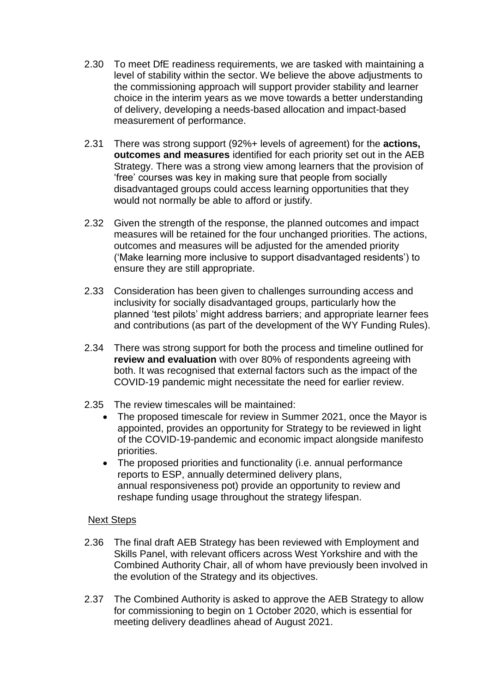- 2.30 To meet DfE readiness requirements, we are tasked with maintaining a level of stability within the sector. We believe the above adjustments to the commissioning approach will support provider stability and learner choice in the interim years as we move towards a better understanding of delivery, developing a needs-based allocation and impact-based measurement of performance.
- 2.31 There was strong support (92%+ levels of agreement) for the **actions, outcomes and measures** identified for each priority set out in the AEB Strategy. There was a strong view among learners that the provision of 'free' courses was key in making sure that people from socially disadvantaged groups could access learning opportunities that they would not normally be able to afford or justify.
- 2.32 Given the strength of the response, the planned outcomes and impact measures will be retained for the four unchanged priorities. The actions, outcomes and measures will be adjusted for the amended priority ('Make learning more inclusive to support disadvantaged residents') to ensure they are still appropriate.
- 2.33 Consideration has been given to challenges surrounding access and inclusivity for socially disadvantaged groups, particularly how the planned 'test pilots' might address barriers; and appropriate learner fees and contributions (as part of the development of the WY Funding Rules).
- 2.34 There was strong support for both the process and timeline outlined for **review and evaluation** with over 80% of respondents agreeing with both. It was recognised that external factors such as the impact of the COVID-19 pandemic might necessitate the need for earlier review.
- 2.35 The review timescales will be maintained:
	- The proposed timescale for review in Summer 2021, once the Mayor is appointed, provides an opportunity for Strategy to be reviewed in light of the COVID-19-pandemic and economic impact alongside manifesto priorities.
	- The proposed priorities and functionality (i.e. annual performance reports to ESP, annually determined delivery plans, annual responsiveness pot) provide an opportunity to review and reshape funding usage throughout the strategy lifespan.

### Next Steps

- 2.36 The final draft AEB Strategy has been reviewed with Employment and Skills Panel, with relevant officers across West Yorkshire and with the Combined Authority Chair, all of whom have previously been involved in the evolution of the Strategy and its objectives.
- 2.37 The Combined Authority is asked to approve the AEB Strategy to allow for commissioning to begin on 1 October 2020, which is essential for meeting delivery deadlines ahead of August 2021.